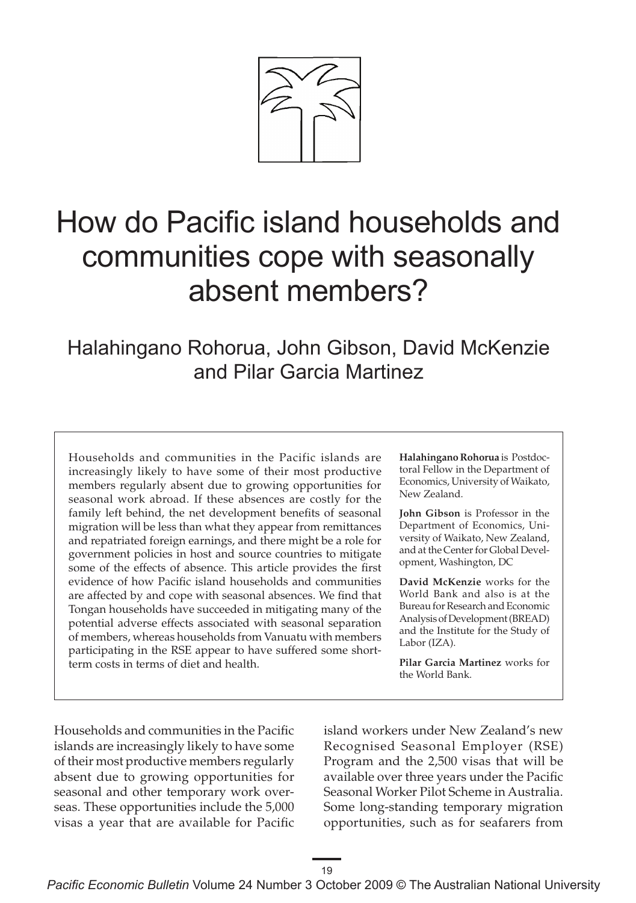

# How do Pacific island households and communities cope with seasonally absent members?

Halahingano Rohorua, John Gibson, David McKenzie and Pilar Garcia Martinez

Households and communities in the Pacific islands are increasingly likely to have some of their most productive members regularly absent due to growing opportunities for seasonal work abroad. If these absences are costly for the family left behind, the net development benefits of seasonal migration will be less than what they appear from remittances and repatriated foreign earnings, and there might be a role for government policies in host and source countries to mitigate some of the effects of absence. This article provides the first evidence of how Pacific island households and communities are affected by and cope with seasonal absences. We find that Tongan households have succeeded in mitigating many of the potential adverse effects associated with seasonal separation of members, whereas households from Vanuatu with members participating in the RSE appear to have suffered some shortterm costs in terms of diet and health.

**Halahingano Rohorua** is Postdoctoral Fellow in the Department of Economics, University of Waikato, New Zealand.

**John Gibson** is Professor in the Department of Economics, University of Waikato, New Zealand, and at the Center for Global Development, Washington, DC

**David McKenzie** works for the World Bank and also is at the Bureau for Research and Economic Analysis of Development (BREAD) and the Institute for the Study of Labor (IZA).

**Pilar Garcia Martinez** works for the World Bank.

Households and communities in the Pacific islands are increasingly likely to have some of their most productive members regularly absent due to growing opportunities for seasonal and other temporary work overseas. These opportunities include the 5,000 visas a year that are available for Pacific island workers under New Zealand's new Recognised Seasonal Employer (RSE) Program and the 2,500 visas that will be available over three years under the Pacific Seasonal Worker Pilot Scheme in Australia. Some long-standing temporary migration opportunities, such as for seafarers from

*Pacific Economic Bulletin* Volume 24 Number 3 October 2009 © The Australian National University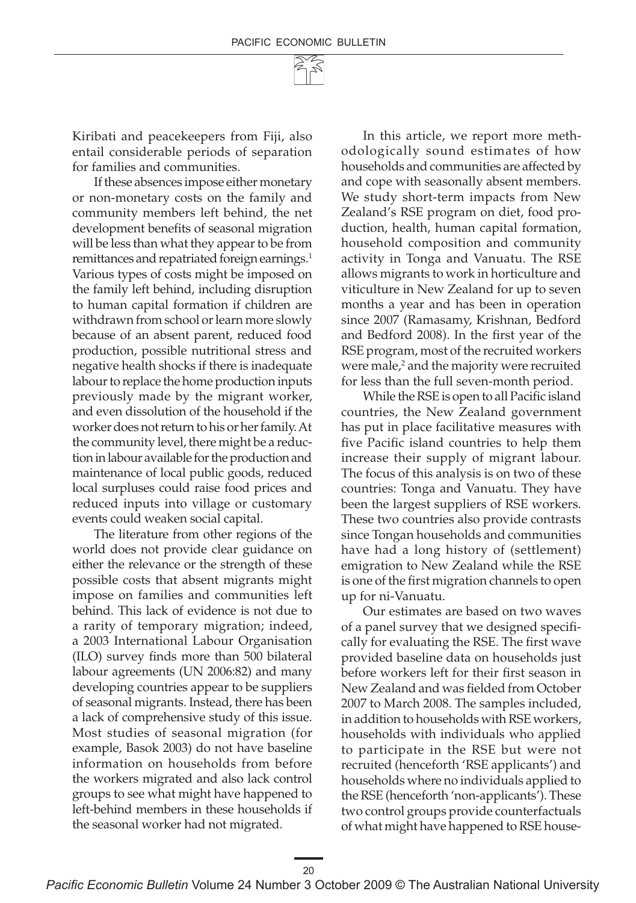Kiribati and peacekeepers from Fiji, also entail considerable periods of separation for families and communities.

If these absences impose either monetary or non-monetary costs on the family and community members left behind, the net development benefits of seasonal migration will be less than what they appear to be from remittances and repatriated foreign earnings.<sup>1</sup> Various types of costs might be imposed on the family left behind, including disruption to human capital formation if children are withdrawn from school or learn more slowly because of an absent parent, reduced food production, possible nutritional stress and negative health shocks if there is inadequate labour to replace the home production inputs previously made by the migrant worker, and even dissolution of the household if the worker does not return to his or her family. At the community level, there might be a reduction in labour available for the production and maintenance of local public goods, reduced local surpluses could raise food prices and reduced inputs into village or customary events could weaken social capital.

The literature from other regions of the world does not provide clear guidance on either the relevance or the strength of these possible costs that absent migrants might impose on families and communities left behind. This lack of evidence is not due to a rarity of temporary migration; indeed, a 2003 International Labour Organisation (ILO) survey finds more than 500 bilateral labour agreements (UN 2006:82) and many developing countries appear to be suppliers of seasonal migrants. Instead, there has been a lack of comprehensive study of this issue. Most studies of seasonal migration (for example, Basok 2003) do not have baseline information on households from before the workers migrated and also lack control groups to see what might have happened to left-behind members in these households if the seasonal worker had not migrated.

In this article, we report more methodologically sound estimates of how households and communities are affected by and cope with seasonally absent members. We study short-term impacts from New Zealand's RSE program on diet, food production, health, human capital formation, household composition and community activity in Tonga and Vanuatu. The RSE allows migrants to work in horticulture and viticulture in New Zealand for up to seven months a year and has been in operation since 2007 (Ramasamy, Krishnan, Bedford and Bedford 2008). In the first year of the RSE program, most of the recruited workers were male,<sup>2</sup> and the majority were recruited for less than the full seven-month period.

While the RSE is open to all Pacific island countries, the New Zealand government has put in place facilitative measures with five Pacific island countries to help them increase their supply of migrant labour. The focus of this analysis is on two of these countries: Tonga and Vanuatu. They have been the largest suppliers of RSE workers. These two countries also provide contrasts since Tongan households and communities have had a long history of (settlement) emigration to New Zealand while the RSE is one of the first migration channels to open up for ni-Vanuatu.

Our estimates are based on two waves of a panel survey that we designed specifically for evaluating the RSE. The first wave provided baseline data on households just before workers left for their first season in New Zealand and was fielded from October 2007 to March 2008. The samples included, in addition to households with RSE workers, households with individuals who applied to participate in the RSE but were not recruited (henceforth 'RSE applicants') and households where no individuals applied to the RSE (henceforth 'non-applicants'). These two control groups provide counterfactuals of what might have happened to RSE house-

20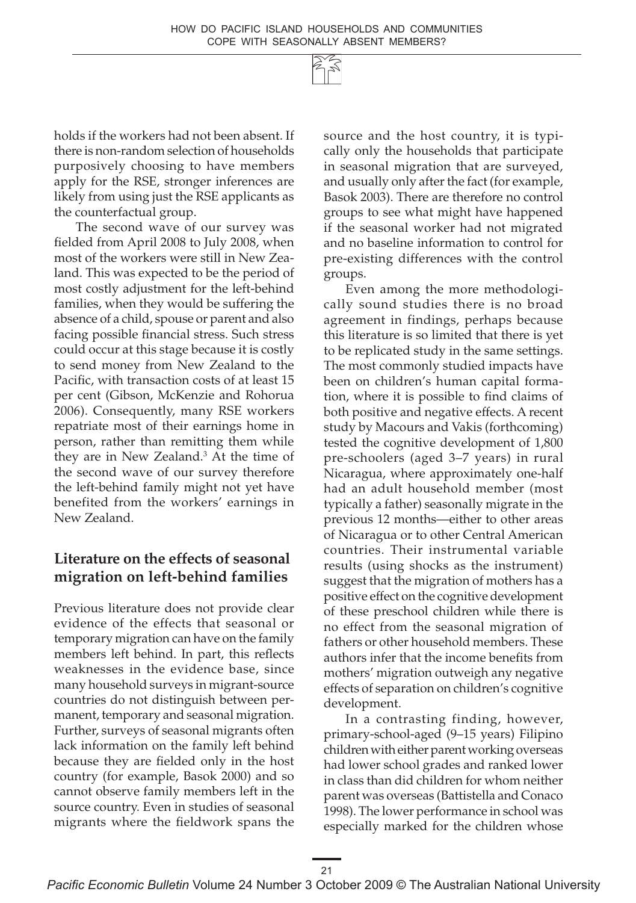holds if the workers had not been absent. If there is non-random selection of households purposively choosing to have members apply for the RSE, stronger inferences are likely from using just the RSE applicants as the counterfactual group.

The second wave of our survey was fielded from April 2008 to July 2008, when most of the workers were still in New Zealand. This was expected to be the period of most costly adjustment for the left-behind families, when they would be suffering the absence of a child, spouse or parent and also facing possible financial stress. Such stress could occur at this stage because it is costly to send money from New Zealand to the Pacific, with transaction costs of at least 15 per cent (Gibson, McKenzie and Rohorua 2006). Consequently, many RSE workers repatriate most of their earnings home in person, rather than remitting them while they are in New Zealand.3 At the time of the second wave of our survey therefore the left-behind family might not yet have benefited from the workers' earnings in New Zealand.

# **Literature on the effects of seasonal migration on left-behind families**

Previous literature does not provide clear evidence of the effects that seasonal or temporary migration can have on the family members left behind. In part, this reflects weaknesses in the evidence base, since many household surveys in migrant-source countries do not distinguish between permanent, temporary and seasonal migration. Further, surveys of seasonal migrants often lack information on the family left behind because they are fielded only in the host country (for example, Basok 2000) and so cannot observe family members left in the source country. Even in studies of seasonal migrants where the fieldwork spans the source and the host country, it is typically only the households that participate in seasonal migration that are surveyed, and usually only after the fact (for example, Basok 2003). There are therefore no control groups to see what might have happened if the seasonal worker had not migrated and no baseline information to control for pre-existing differences with the control groups.

Even among the more methodologically sound studies there is no broad agreement in findings, perhaps because this literature is so limited that there is yet to be replicated study in the same settings. The most commonly studied impacts have been on children's human capital formation, where it is possible to find claims of both positive and negative effects. A recent study by Macours and Vakis (forthcoming) tested the cognitive development of 1,800 pre-schoolers (aged 3–7 years) in rural Nicaragua, where approximately one-half had an adult household member (most typically a father) seasonally migrate in the previous 12 months—either to other areas of Nicaragua or to other Central American countries. Their instrumental variable results (using shocks as the instrument) suggest that the migration of mothers has a positive effect on the cognitive development of these preschool children while there is no effect from the seasonal migration of fathers or other household members. These authors infer that the income benefits from mothers' migration outweigh any negative effects of separation on children's cognitive development.

In a contrasting finding, however, primary-school-aged (9–15 years) Filipino children with either parent working overseas had lower school grades and ranked lower in class than did children for whom neither parent was overseas (Battistella and Conaco 1998). The lower performance in school was especially marked for the children whose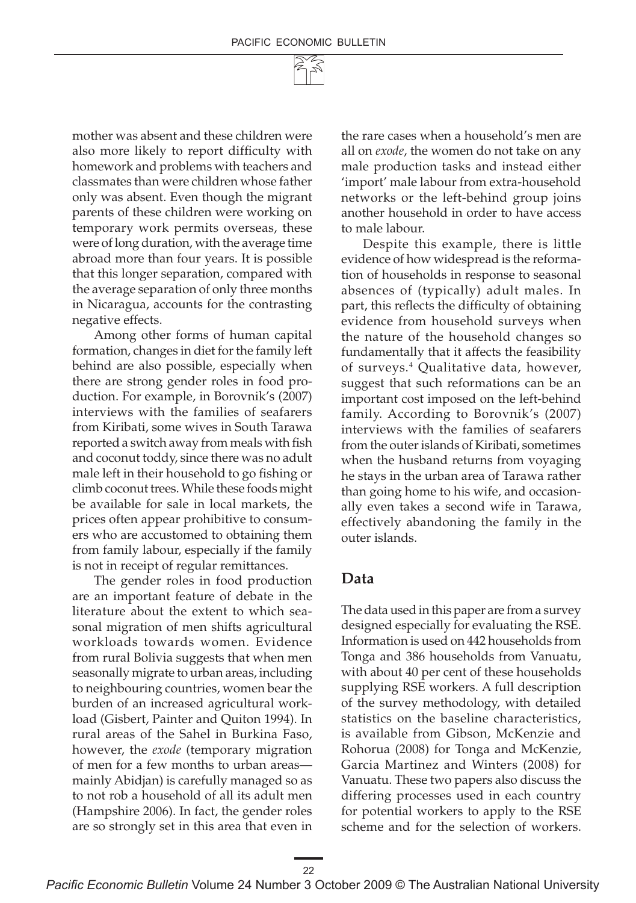mother was absent and these children were also more likely to report difficulty with homework and problems with teachers and classmates than were children whose father only was absent. Even though the migrant parents of these children were working on temporary work permits overseas, these were of long duration, with the average time abroad more than four years. It is possible that this longer separation, compared with the average separation of only three months in Nicaragua, accounts for the contrasting negative effects.

Among other forms of human capital formation, changes in diet for the family left behind are also possible, especially when there are strong gender roles in food production. For example, in Borovnik's (2007) interviews with the families of seafarers from Kiribati, some wives in South Tarawa reported a switch away from meals with fish and coconut toddy, since there was no adult male left in their household to go fishing or climb coconut trees. While these foods might be available for sale in local markets, the prices often appear prohibitive to consumers who are accustomed to obtaining them from family labour, especially if the family is not in receipt of regular remittances.

The gender roles in food production are an important feature of debate in the literature about the extent to which seasonal migration of men shifts agricultural workloads towards women. Evidence from rural Bolivia suggests that when men seasonally migrate to urban areas, including to neighbouring countries, women bear the burden of an increased agricultural workload (Gisbert, Painter and Quiton 1994). In rural areas of the Sahel in Burkina Faso, however, the *exode* (temporary migration of men for a few months to urban areas mainly Abidjan) is carefully managed so as to not rob a household of all its adult men (Hampshire 2006). In fact, the gender roles are so strongly set in this area that even in

the rare cases when a household's men are all on *exode*, the women do not take on any male production tasks and instead either 'import' male labour from extra-household networks or the left-behind group joins another household in order to have access to male labour.

Despite this example, there is little evidence of how widespread is the reformation of households in response to seasonal absences of (typically) adult males. In part, this reflects the difficulty of obtaining evidence from household surveys when the nature of the household changes so fundamentally that it affects the feasibility of surveys.4 Qualitative data, however, suggest that such reformations can be an important cost imposed on the left-behind family. According to Borovnik's (2007) interviews with the families of seafarers from the outer islands of Kiribati, sometimes when the husband returns from voyaging he stays in the urban area of Tarawa rather than going home to his wife, and occasionally even takes a second wife in Tarawa, effectively abandoning the family in the outer islands.

#### **Data**

The data used in this paper are from a survey designed especially for evaluating the RSE. Information is used on 442 households from Tonga and 386 households from Vanuatu, with about 40 per cent of these households supplying RSE workers. A full description of the survey methodology, with detailed statistics on the baseline characteristics, is available from Gibson, McKenzie and Rohorua (2008) for Tonga and McKenzie, Garcia Martinez and Winters (2008) for Vanuatu. These two papers also discuss the differing processes used in each country for potential workers to apply to the RSE scheme and for the selection of workers.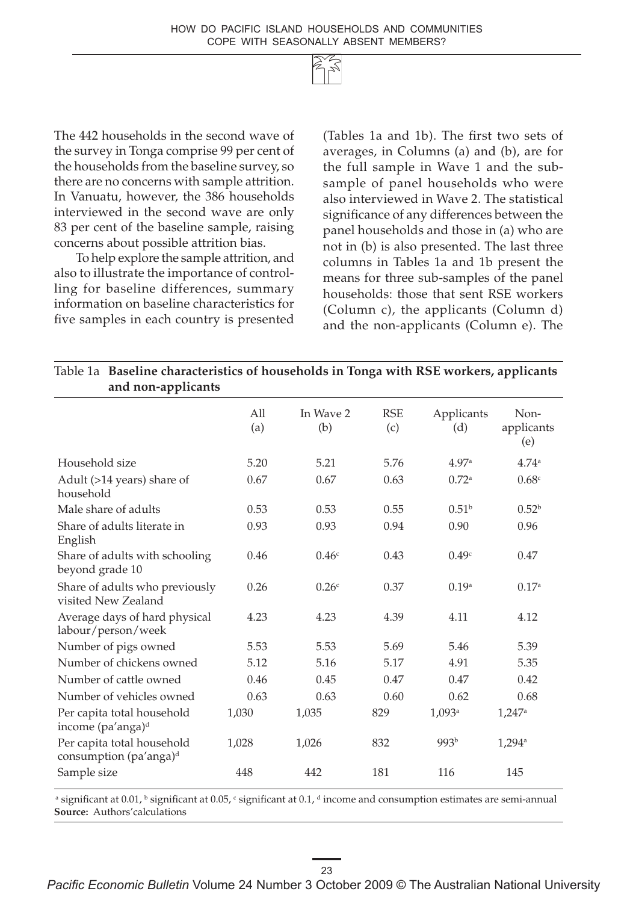The 442 households in the second wave of the survey in Tonga comprise 99 per cent of the households from the baseline survey, so there are no concerns with sample attrition. In Vanuatu, however, the 386 households interviewed in the second wave are only 83 per cent of the baseline sample, raising concerns about possible attrition bias.

To help explore the sample attrition, and also to illustrate the importance of controlling for baseline differences, summary information on baseline characteristics for five samples in each country is presented (Tables 1a and 1b). The first two sets of averages, in Columns (a) and (b), are for the full sample in Wave 1 and the subsample of panel households who were also interviewed in Wave 2. The statistical significance of any differences between the panel households and those in (a) who are not in (b) is also presented. The last three columns in Tables 1a and 1b present the means for three sub-samples of the panel households: those that sent RSE workers (Column c), the applicants (Column d) and the non-applicants (Column e). The

| Table 1a Baseline characteristics of households in Tonga with RSE workers, applicants<br>and non-applicants |            |                   |                   |                      |                           |
|-------------------------------------------------------------------------------------------------------------|------------|-------------------|-------------------|----------------------|---------------------------|
|                                                                                                             | All<br>(a) | In Wave 2<br>(b)  | <b>RSE</b><br>(c) | Applicants<br>(d)    | Non-<br>applicants<br>(e) |
| Household size                                                                                              | 5.20       | 5.21              | 5.76              | 4.97a                | 4.74 <sup>a</sup>         |
| Adult (>14 years) share of<br>household                                                                     | 0.67       | 0.67              | 0.63              | 0.72 <sup>a</sup>    | 0.68 <sup>c</sup>         |
| Male share of adults                                                                                        | 0.53       | 0.53              | 0.55              | 0.51 <sup>b</sup>    | 0.52 <sup>b</sup>         |
| Share of adults literate in<br>English                                                                      | 0.93       | 0.93              | 0.94              | 0.90                 | 0.96                      |
| Share of adults with schooling<br>beyond grade 10                                                           | 0.46       | 0.46 <sup>c</sup> | 0.43              | 0.49 <sup>c</sup>    | 0.47                      |
| Share of adults who previously<br>visited New Zealand                                                       | 0.26       | 0.26 <sup>c</sup> | 0.37              | 0.19 <sup>a</sup>    | 0.17a                     |
| Average days of hard physical<br>labour/person/week                                                         | 4.23       | 4.23              | 4.39              | 4.11                 | 4.12                      |
| Number of pigs owned                                                                                        | 5.53       | 5.53              | 5.69              | 5.46                 | 5.39                      |
| Number of chickens owned                                                                                    | 5.12       | 5.16              | 5.17              | 4.91                 | 5.35                      |
| Number of cattle owned                                                                                      | 0.46       | 0.45              | 0.47              | 0.47                 | 0.42                      |
| Number of vehicles owned                                                                                    | 0.63       | 0.63              | 0.60              | 0.62                 | 0.68                      |
| Per capita total household<br>income (pa'anga) <sup>d</sup>                                                 | 1,030      | 1,035             | 829               | $1,093$ <sup>a</sup> | $1,247^{\rm a}$           |
| Per capita total household<br>consumption (pa'anga) <sup>d</sup>                                            | 1,028      | 1,026             | 832               | 993 <sup>b</sup>     | $1,294$ <sup>a</sup>      |
| Sample size                                                                                                 | 448        | 442               | 181               | 116                  | 145                       |

<sup>a</sup> significant at 0.01, <sup>b</sup> significant at 0.05,  $\cdot$  significant at 0.1, <sup>d</sup> income and consumption estimates are semi-annual **Source:** Authors'calculations

#### 23

*Pacific Economic Bulletin* Volume 24 Number 3 October 2009 © The Australian National University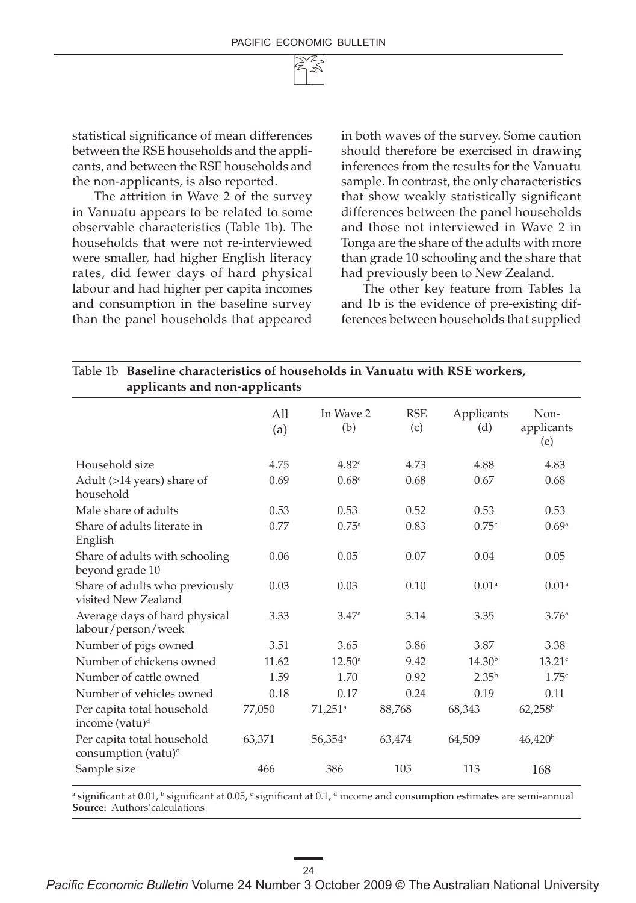

statistical significance of mean differences between the RSE households and the applicants, and between the RSE households and the non-applicants, is also reported.

The attrition in Wave 2 of the survey in Vanuatu appears to be related to some observable characteristics (Table 1b). The households that were not re-interviewed were smaller, had higher English literacy rates, did fewer days of hard physical labour and had higher per capita incomes and consumption in the baseline survey than the panel households that appeared in both waves of the survey. Some caution should therefore be exercised in drawing inferences from the results for the Vanuatu sample. In contrast, the only characteristics that show weakly statistically significant differences between the panel households and those not interviewed in Wave 2 in Tonga are the share of the adults with more than grade 10 schooling and the share that had previously been to New Zealand.

The other key feature from Tables 1a and 1b is the evidence of pre-existing differences between households that supplied

| Baseline characteristics of households in Vanuatu with RSE workers,<br>Table 1b<br>applicants and non-applicants |                        |                       |                   |                    |                           |
|------------------------------------------------------------------------------------------------------------------|------------------------|-----------------------|-------------------|--------------------|---------------------------|
|                                                                                                                  | A <sub>11</sub><br>(a) | In Wave 2<br>(b)      | <b>RSE</b><br>(c) | Applicants<br>(d)  | Non-<br>applicants<br>(e) |
| Household size                                                                                                   | 4.75                   | 4.82c                 | 4.73              | 4.88               | 4.83                      |
| Adult (>14 years) share of<br>household                                                                          | 0.69                   | 0.68 <sup>c</sup>     | 0.68              | 0.67               | 0.68                      |
| Male share of adults                                                                                             | 0.53                   | 0.53                  | 0.52              | 0.53               | 0.53                      |
| Share of adults literate in<br>English                                                                           | 0.77                   | $0.75^{\rm a}$        | 0.83              | 0.75c              | 0.69a                     |
| Share of adults with schooling<br>beyond grade 10                                                                | 0.06                   | 0.05                  | 0.07              | 0.04               | 0.05                      |
| Share of adults who previously<br>visited New Zealand                                                            | 0.03                   | 0.03                  | 0.10              | 0.01 <sup>a</sup>  | 0.01 <sup>a</sup>         |
| Average days of hard physical<br>labour/person/week                                                              | 3.33                   | 3.47a                 | 3.14              | 3.35               | 3.76 <sup>a</sup>         |
| Number of pigs owned                                                                                             | 3.51                   | 3.65                  | 3.86              | 3.87               | 3.38                      |
| Number of chickens owned                                                                                         | 11.62                  | $12.50^{\circ}$       | 9.42              | 14.30 <sup>b</sup> | 13.21c                    |
| Number of cattle owned                                                                                           | 1.59                   | 1.70                  | 0.92              | $2.35^{b}$         | 1.75c                     |
| Number of vehicles owned                                                                                         | 0.18                   | 0.17                  | 0.24              | 0.19               | 0.11                      |
| Per capita total household<br>income (vatu) <sup>d</sup>                                                         | 77,050                 | $71,251$ <sup>a</sup> | 88,768            | 68,343             | $62,258^{\rm b}$          |
| Per capita total household<br>consumption (vatu) <sup>d</sup>                                                    | 63,371                 | $56,354$ <sup>a</sup> | 63,474            | 64,509             | 46,420 <sup>b</sup>       |
| Sample size                                                                                                      | 466                    | 386                   | 105               | 113                | 168                       |

 $^{\rm a}$  significant at 0.01,  $^{\rm b}$  significant at 0.05,  $^{\rm c}$  significant at 0.1,  $^{\rm d}$  income and consumption estimates are semi-annual **Source:** Authors'calculations

*Pacific Economic Bulletin* Volume 24 Number 3 October 2009 © The Australian National University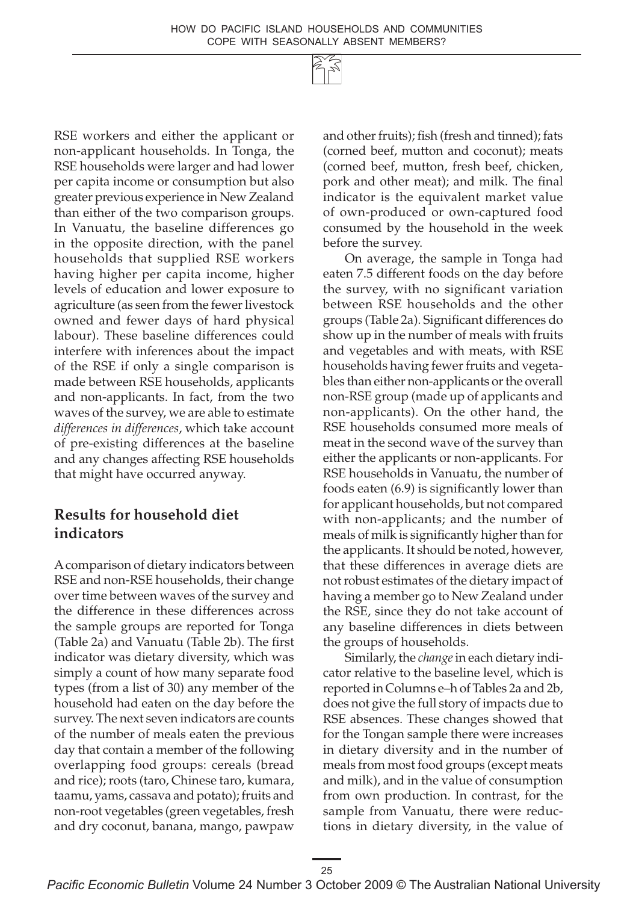RSE workers and either the applicant or non-applicant households. In Tonga, the RSE households were larger and had lower per capita income or consumption but also greater previous experience in New Zealand than either of the two comparison groups. In Vanuatu, the baseline differences go in the opposite direction, with the panel households that supplied RSE workers having higher per capita income, higher levels of education and lower exposure to agriculture (as seen from the fewer livestock owned and fewer days of hard physical labour). These baseline differences could interfere with inferences about the impact of the RSE if only a single comparison is made between RSE households, applicants and non-applicants. In fact, from the two waves of the survey, we are able to estimate *differences in differences*, which take account of pre-existing differences at the baseline and any changes affecting RSE households that might have occurred anyway.

### **Results for household diet indicators**

A comparison of dietary indicators between RSE and non-RSE households, their change over time between waves of the survey and the difference in these differences across the sample groups are reported for Tonga (Table 2a) and Vanuatu (Table 2b). The first indicator was dietary diversity, which was simply a count of how many separate food types (from a list of 30) any member of the household had eaten on the day before the survey. The next seven indicators are counts of the number of meals eaten the previous day that contain a member of the following overlapping food groups: cereals (bread and rice); roots (taro, Chinese taro, kumara, taamu, yams, cassava and potato); fruits and non-root vegetables (green vegetables, fresh and dry coconut, banana, mango, pawpaw

and other fruits); fish (fresh and tinned); fats (corned beef, mutton and coconut); meats (corned beef, mutton, fresh beef, chicken, pork and other meat); and milk. The final indicator is the equivalent market value of own-produced or own-captured food consumed by the household in the week before the survey.

On average, the sample in Tonga had eaten 7.5 different foods on the day before the survey, with no significant variation between RSE households and the other groups (Table 2a). Significant differences do show up in the number of meals with fruits and vegetables and with meats, with RSE households having fewer fruits and vegetables than either non-applicants or the overall non-RSE group (made up of applicants and non-applicants). On the other hand, the RSE households consumed more meals of meat in the second wave of the survey than either the applicants or non-applicants. For RSE households in Vanuatu, the number of foods eaten (6.9) is significantly lower than for applicant households, but not compared with non-applicants; and the number of meals of milk is significantly higher than for the applicants. It should be noted, however, that these differences in average diets are not robust estimates of the dietary impact of having a member go to New Zealand under the RSE, since they do not take account of any baseline differences in diets between the groups of households.

Similarly, the *change* in each dietary indicator relative to the baseline level, which is reported in Columns e–h of Tables 2a and 2b, does not give the full story of impacts due to RSE absences. These changes showed that for the Tongan sample there were increases in dietary diversity and in the number of meals from most food groups (except meats and milk), and in the value of consumption from own production. In contrast, for the sample from Vanuatu, there were reductions in dietary diversity, in the value of

25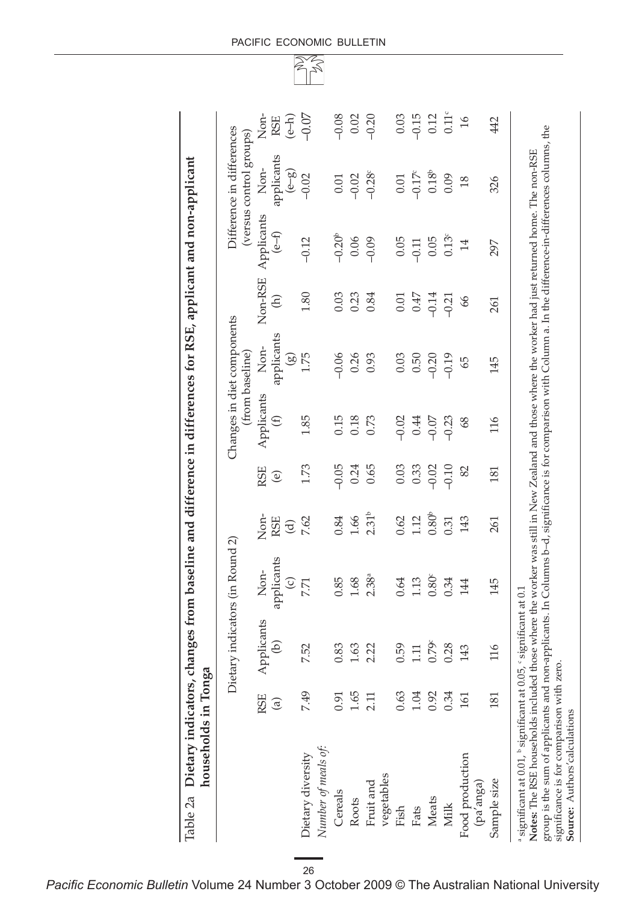| Dietary indicators, ch<br>households in Tonga<br>Table 2a |                      |                                 | hanges from baseline and difference in differences for RSE, applicant and non-applicant |                                       |                    |                           |                                              |                                 |                       |                                                      |                                       |
|-----------------------------------------------------------|----------------------|---------------------------------|-----------------------------------------------------------------------------------------|---------------------------------------|--------------------|---------------------------|----------------------------------------------|---------------------------------|-----------------------|------------------------------------------------------|---------------------------------------|
|                                                           |                      | Dietary indicators (in Round 2) |                                                                                         |                                       |                    |                           | Changes in diet components<br>from baseline) |                                 |                       | Difference in differences<br>(versus control groups) |                                       |
|                                                           | RSE<br>$\widehat{a}$ | pplicants<br>$\widehat{e}$<br>⋖ | applicants<br>Non-<br>$\odot$                                                           | Non-<br>RSE<br>$\widehat{\mathbf{C}}$ | RSE<br>$\circlede$ | Applicants<br>$\bigoplus$ | applicants<br>Non-<br>$\circledS$            | Non-RSE<br>$\widehat{\epsilon}$ | Applicants<br>$(e-f)$ | applicants<br>Non-<br>$\left(\frac{2}{6}\right)$     | Non-<br>$\left( e^{-h}\right)$<br>RSE |
| Number of meals of:<br>Dietary diversity                  | 7.49                 | 7.52                            | 7.71                                                                                    | 7.62                                  | 1.73               | 1.85                      | 1.75                                         | 1.80                            | $-0.12$               | $-0.02$                                              | $-0.07$                               |
| Cereals                                                   | 0.91                 | 0.83                            | 0.85                                                                                    | 0.84                                  | $-0.05$            | 0.15                      | $-0.06$                                      | 0.03                            | $-0.20^{\circ}$       | $0.01\,$                                             | $-0.08$                               |
| Roots                                                     | 1.65                 | 1.63                            | 1.68                                                                                    | $1.66\,$                              | 0.24               | 0.18                      | 0.26                                         | 0.23                            | 0.06                  | $-0.02$                                              | $0.02\,$                              |
| Fruit and                                                 | 2.11                 | 2.22                            | 2.38a                                                                                   | 2.31 <sup>b</sup>                     | 0.65               | 0.73                      | 0.93                                         | 0.84                            | $-0.09$               | $-0.28c$                                             | $-0.20$                               |
| vegetables<br>Fish                                        | 0.63                 | 0.59                            | 0.64                                                                                    | 0.62                                  | 0.03               | $-0.02$                   | 0.03                                         | 0.01                            | 0.05                  | 0.01                                                 | 0.03                                  |
| Fats                                                      | 1.04                 | 1.11                            | 1.13                                                                                    | 1.12                                  | 0.33               | 0.44                      | 0.50                                         | 0.47                            | $-0.11$               | $-0.17^{\circ}$                                      | $-0.15$                               |
| Meats                                                     | 0.92                 | 0.79 <sup>c</sup>               | $0.80^{\circ}$                                                                          | 0.80 <sup>b</sup>                     | $-0.02$            | $-0.07$                   | $-0.20$                                      | $-0.14$                         | 0.05                  | $0.18^{b}$                                           | 0.12                                  |
| <b>Milk</b>                                               | 0.34                 | 0.28                            | 0.34                                                                                    | 0.31                                  | $-0.10$            | $-0.23$                   | $-0.19$                                      | $-0.21$                         | 0.13 <sup>c</sup>     | 0.09                                                 | $0.11$ <sup>c</sup>                   |
| Food production<br>(pa'anga)                              | 161                  | 143                             | 144                                                                                     | 143                                   | 82                 | 68                        | 65                                           | 66                              | 14                    | 18                                                   | $16$                                  |
| Sample size                                               | 181                  | 116                             | 145                                                                                     | 261                                   | 181                | 116                       | 145                                          | 261                             | 297                   | 326                                                  | 442                                   |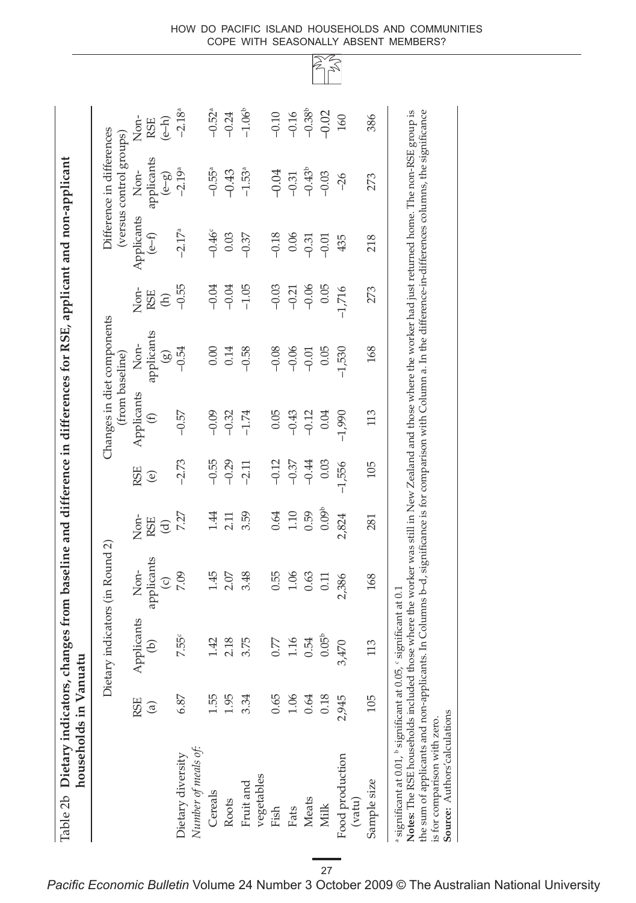| $-0.46^{\circ}$<br>$0.03\,$<br>$(e-f)$<br>$-0.37$<br>$-0.55$<br>$-0.04$<br>$-1.05$<br>$-0.04$<br>Non-<br>RSE<br>$\widehat{\oplus}$<br>applicants<br>Non-<br>$-0.54$<br>$0.00\,$<br>0.14<br>$-0.58$<br>$\circledS$<br>Applicants<br>$-0.57$<br>$-0.09$<br>$-0.32$<br>$-1.74$<br>$\bigoplus$<br>$-0.55$<br>$-2.73$<br>$-0.29$<br>$-2.11$<br>RSE<br>$\circlede$<br>7.27<br>1.44<br>3.59<br>2.11<br>Non-<br>RSE<br>$\widehat{\sigma}$<br>applicants<br>Non-<br>7.09<br>$1.45$<br>2.07<br>3.48<br>$\odot$<br>pplicants<br>7.55°<br>2.18<br>3.75<br>1.42<br>G)<br>≺<br>1.55<br>1.95<br>3.34<br>6.87<br><b>RSE</b><br>$\mathbf{G}$<br>Number of meals of:<br>Dietary diversity<br>vegetables<br>Fruit and<br>Cereals<br>Roots |         | (versus control groups)<br>applicants<br>Non-<br>Applicants | Non-                            |
|------------------------------------------------------------------------------------------------------------------------------------------------------------------------------------------------------------------------------------------------------------------------------------------------------------------------------------------------------------------------------------------------------------------------------------------------------------------------------------------------------------------------------------------------------------------------------------------------------------------------------------------------------------------------------------------------------------------------|---------|-------------------------------------------------------------|---------------------------------|
|                                                                                                                                                                                                                                                                                                                                                                                                                                                                                                                                                                                                                                                                                                                        |         | $\left(\frac{3}{6-9}\right)$                                | <b>RSE</b>                      |
|                                                                                                                                                                                                                                                                                                                                                                                                                                                                                                                                                                                                                                                                                                                        |         | $-2.19^{a}$<br>$-2.17$ <sup>a</sup>                         | $(e-h)$<br>-2.18 <sup>a</sup>   |
|                                                                                                                                                                                                                                                                                                                                                                                                                                                                                                                                                                                                                                                                                                                        |         | $-0.55^{\rm a}$                                             |                                 |
|                                                                                                                                                                                                                                                                                                                                                                                                                                                                                                                                                                                                                                                                                                                        |         | $-0.43$                                                     | $-0.52$ <sup>a</sup><br>$-0.24$ |
|                                                                                                                                                                                                                                                                                                                                                                                                                                                                                                                                                                                                                                                                                                                        |         | $-1.53^{a}$                                                 | $-1.06^b$                       |
| $-0.08$<br>0.05<br>$-0.12$<br>0.64<br>0.55<br>0.77<br>0.65<br>Fish                                                                                                                                                                                                                                                                                                                                                                                                                                                                                                                                                                                                                                                     | $-0.03$ | $-0.04$<br>$-0.18$                                          | $-0.10$                         |
| 0.06<br>$-0.21$<br>$-0.06$<br>$-0.43$<br>$-0.37$<br>$1.10\,$<br>1.06<br>1.16<br>1.06<br>Fats                                                                                                                                                                                                                                                                                                                                                                                                                                                                                                                                                                                                                           |         | $-0.31$                                                     | $-0.16$                         |
| $-0.31$<br>$-0.06$<br>$-0.01$<br>$-0.12$<br>$-0.44$<br>0.59<br>0.63<br>0.54<br>0.64<br>Meats                                                                                                                                                                                                                                                                                                                                                                                                                                                                                                                                                                                                                           |         | $-0.43^{\circ}$                                             |                                 |
| $-0.01$<br>0.05<br>0.05<br>0.04<br>0.03<br>0.09 <sup>b</sup><br>0.11<br>0.05 <sup>b</sup><br>$0.18\,$<br>Milk                                                                                                                                                                                                                                                                                                                                                                                                                                                                                                                                                                                                          |         | $-0.03$                                                     | $-0.38^b$                       |
| 435<br>$-1,716$<br>$-1,530$<br>$-1,990$<br>$-1,556$<br>2,824<br>2,386<br>3,470<br>2,945<br>Food production<br>(vatu)                                                                                                                                                                                                                                                                                                                                                                                                                                                                                                                                                                                                   |         | $-26$                                                       |                                 |
| 218<br>273<br>168<br>113<br>105<br>281<br>168<br>113<br>105<br>Sample size                                                                                                                                                                                                                                                                                                                                                                                                                                                                                                                                                                                                                                             |         | 273                                                         |                                 |

How do Pacific island households and communities cope with seasonally absent members?

> R  $\gtrapprox$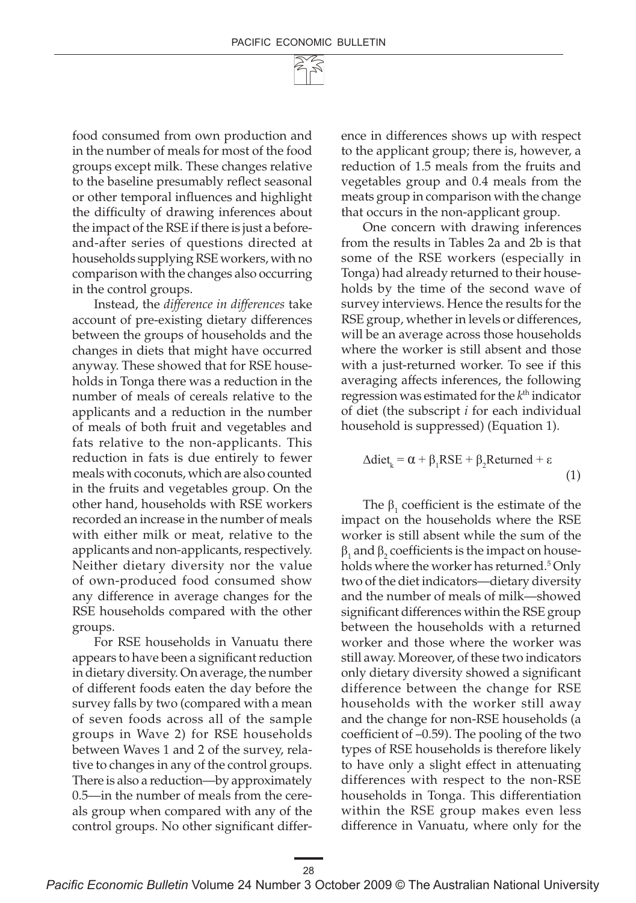food consumed from own production and in the number of meals for most of the food groups except milk. These changes relative to the baseline presumably reflect seasonal or other temporal influences and highlight the difficulty of drawing inferences about the impact of the RSE if there is just a beforeand-after series of questions directed at households supplying RSE workers, with no comparison with the changes also occurring in the control groups.

Instead, the *difference in differences* take account of pre-existing dietary differences between the groups of households and the changes in diets that might have occurred anyway. These showed that for RSE households in Tonga there was a reduction in the number of meals of cereals relative to the applicants and a reduction in the number of meals of both fruit and vegetables and fats relative to the non-applicants. This reduction in fats is due entirely to fewer meals with coconuts, which are also counted in the fruits and vegetables group. On the other hand, households with RSE workers recorded an increase in the number of meals with either milk or meat, relative to the applicants and non-applicants, respectively. Neither dietary diversity nor the value of own-produced food consumed show any difference in average changes for the RSE households compared with the other groups.

For RSE households in Vanuatu there appears to have been a significant reduction in dietary diversity. On average, the number of different foods eaten the day before the survey falls by two (compared with a mean of seven foods across all of the sample groups in Wave 2) for RSE households between Waves 1 and 2 of the survey, relative to changes in any of the control groups. There is also a reduction—by approximately 0.5—in the number of meals from the cereals group when compared with any of the control groups. No other significant difference in differences shows up with respect to the applicant group; there is, however, a reduction of 1.5 meals from the fruits and vegetables group and 0.4 meals from the meats group in comparison with the change that occurs in the non-applicant group.

One concern with drawing inferences from the results in Tables 2a and 2b is that some of the RSE workers (especially in Tonga) had already returned to their households by the time of the second wave of survey interviews. Hence the results for the RSE group, whether in levels or differences, will be an average across those households where the worker is still absent and those with a just-returned worker. To see if this averaging affects inferences, the following regression was estimated for the *k*th indicator of diet (the subscript *i* for each individual household is suppressed) (Equation 1).

$$
\Delta \text{dict}_{k} = \alpha + \beta_{1} \text{RSE} + \beta_{2} \text{Returned} + \varepsilon
$$
\n(1)

The  $\beta_1$  coefficient is the estimate of the impact on the households where the RSE worker is still absent while the sum of the  $\beta_1$  and  $\beta_2$  coefficients is the impact on households where the worker has returned.<sup>5</sup> Only two of the diet indicators—dietary diversity and the number of meals of milk—showed significant differences within the RSE group between the households with a returned worker and those where the worker was still away. Moreover, of these two indicators only dietary diversity showed a significant difference between the change for RSE households with the worker still away and the change for non-RSE households (a coefficient of –0.59). The pooling of the two types of RSE households is therefore likely to have only a slight effect in attenuating differences with respect to the non-RSE households in Tonga. This differentiation within the RSE group makes even less difference in Vanuatu, where only for the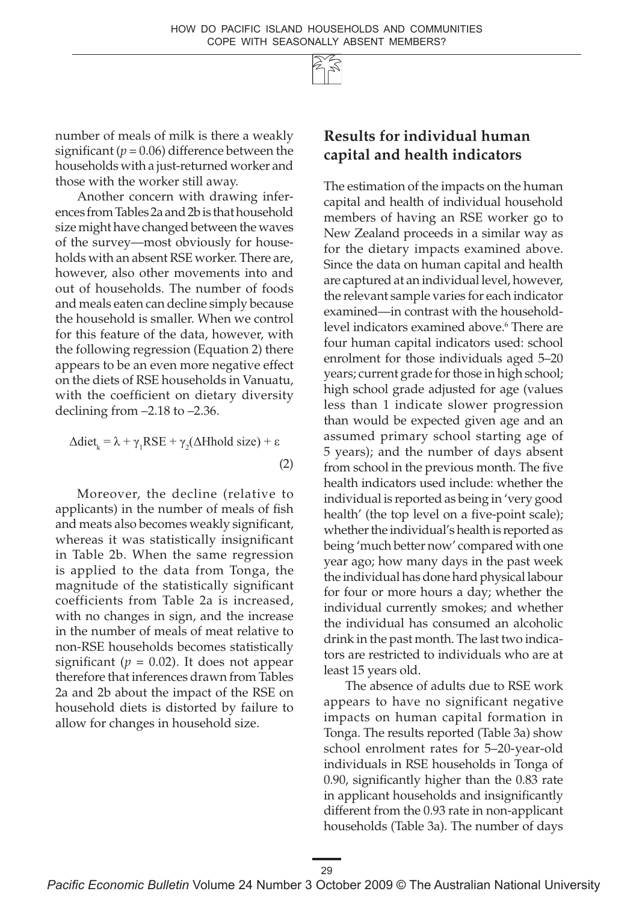29

number of meals of milk is there a weakly significant  $(p = 0.06)$  difference between the households with a just-returned worker and those with the worker still away.

Another concern with drawing inferences from Tables 2a and 2b is that household size might have changed between the waves of the survey—most obviously for households with an absent RSE worker. There are, however, also other movements into and out of households. The number of foods and meals eaten can decline simply because the household is smaller. When we control for this feature of the data, however, with the following regression (Equation 2) there appears to be an even more negative effect on the diets of RSE households in Vanuatu, with the coefficient on dietary diversity declining from –2.18 to –2.36.

$$
\Delta \text{diet}_{k} = \lambda + \gamma_{1} \text{RSE} + \gamma_{2} (\Delta \text{Hhold size}) + \varepsilon
$$
\n(2)

Moreover, the decline (relative to applicants) in the number of meals of fish and meats also becomes weakly significant, whereas it was statistically insignificant in Table 2b. When the same regression is applied to the data from Tonga, the magnitude of the statistically significant coefficients from Table 2a is increased, with no changes in sign, and the increase in the number of meals of meat relative to non-RSE households becomes statistically significant ( $p = 0.02$ ). It does not appear therefore that inferences drawn from Tables 2a and 2b about the impact of the RSE on household diets is distorted by failure to allow for changes in household size.

# **Results for individual human capital and health indicators**

The estimation of the impacts on the human capital and health of individual household members of having an RSE worker go to New Zealand proceeds in a similar way as for the dietary impacts examined above. Since the data on human capital and health are captured at an individual level, however, the relevant sample varies for each indicator examined—in contrast with the householdlevel indicators examined above.6 There are four human capital indicators used: school enrolment for those individuals aged 5–20 years; current grade for those in high school; high school grade adjusted for age (values less than 1 indicate slower progression than would be expected given age and an assumed primary school starting age of 5 years); and the number of days absent from school in the previous month. The five health indicators used include: whether the individual is reported as being in 'very good health' (the top level on a five-point scale); whether the individual's health is reported as being 'much better now' compared with one year ago; how many days in the past week the individual has done hard physical labour for four or more hours a day; whether the individual currently smokes; and whether the individual has consumed an alcoholic drink in the past month. The last two indicators are restricted to individuals who are at least 15 years old.

The absence of adults due to RSE work appears to have no significant negative impacts on human capital formation in Tonga. The results reported (Table 3a) show school enrolment rates for 5–20-year-old individuals in RSE households in Tonga of 0.90, significantly higher than the 0.83 rate in applicant households and insignificantly different from the 0.93 rate in non-applicant households (Table 3a). The number of days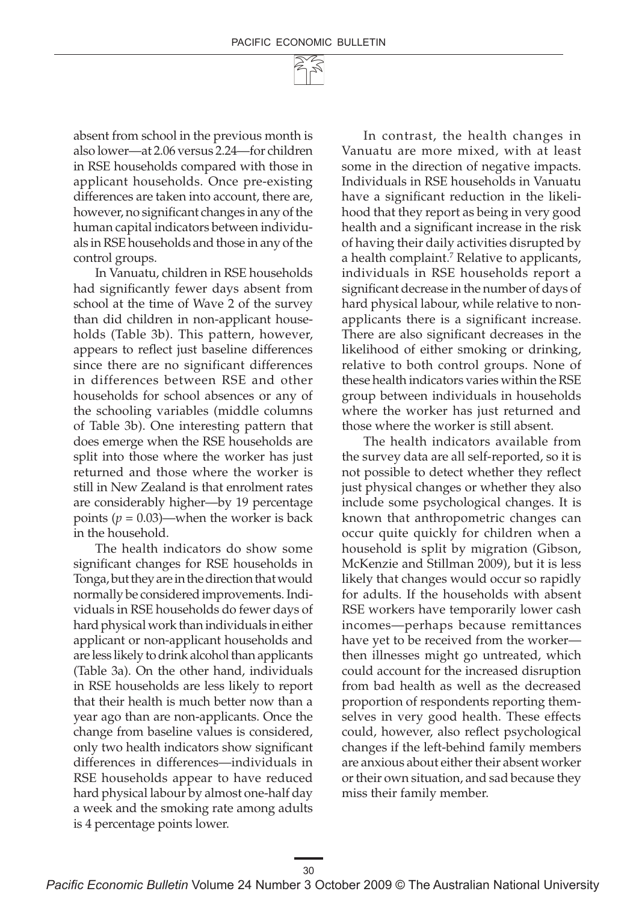absent from school in the previous month is also lower—at 2.06 versus 2.24—for children in RSE households compared with those in applicant households. Once pre-existing differences are taken into account, there are, however, no significant changes in any of the human capital indicators between individuals in RSE households and those in any of the control groups.

In Vanuatu, children in RSE households had significantly fewer days absent from school at the time of Wave 2 of the survey than did children in non-applicant households (Table 3b). This pattern, however, appears to reflect just baseline differences since there are no significant differences in differences between RSE and other households for school absences or any of the schooling variables (middle columns of Table 3b). One interesting pattern that does emerge when the RSE households are split into those where the worker has just returned and those where the worker is still in New Zealand is that enrolment rates are considerably higher—by 19 percentage points  $(p = 0.03)$ —when the worker is back in the household.

The health indicators do show some significant changes for RSE households in Tonga, but they are in the direction that would normally be considered improvements. Individuals in RSE households do fewer days of hard physical work than individuals in either applicant or non-applicant households and are less likely to drink alcohol than applicants (Table 3a). On the other hand, individuals in RSE households are less likely to report that their health is much better now than a year ago than are non-applicants. Once the change from baseline values is considered, only two health indicators show significant differences in differences—individuals in RSE households appear to have reduced hard physical labour by almost one-half day a week and the smoking rate among adults is 4 percentage points lower.

In contrast, the health changes in Vanuatu are more mixed, with at least some in the direction of negative impacts. Individuals in RSE households in Vanuatu have a significant reduction in the likelihood that they report as being in very good health and a significant increase in the risk of having their daily activities disrupted by a health complaint.7 Relative to applicants, individuals in RSE households report a significant decrease in the number of days of hard physical labour, while relative to nonapplicants there is a significant increase. There are also significant decreases in the likelihood of either smoking or drinking, relative to both control groups. None of these health indicators varies within the RSE group between individuals in households where the worker has just returned and those where the worker is still absent.

The health indicators available from the survey data are all self-reported, so it is not possible to detect whether they reflect just physical changes or whether they also include some psychological changes. It is known that anthropometric changes can occur quite quickly for children when a household is split by migration (Gibson, McKenzie and Stillman 2009), but it is less likely that changes would occur so rapidly for adults. If the households with absent RSE workers have temporarily lower cash incomes—perhaps because remittances have yet to be received from the worker then illnesses might go untreated, which could account for the increased disruption from bad health as well as the decreased proportion of respondents reporting themselves in very good health. These effects could, however, also reflect psychological changes if the left-behind family members are anxious about either their absent worker or their own situation, and sad because they miss their family member.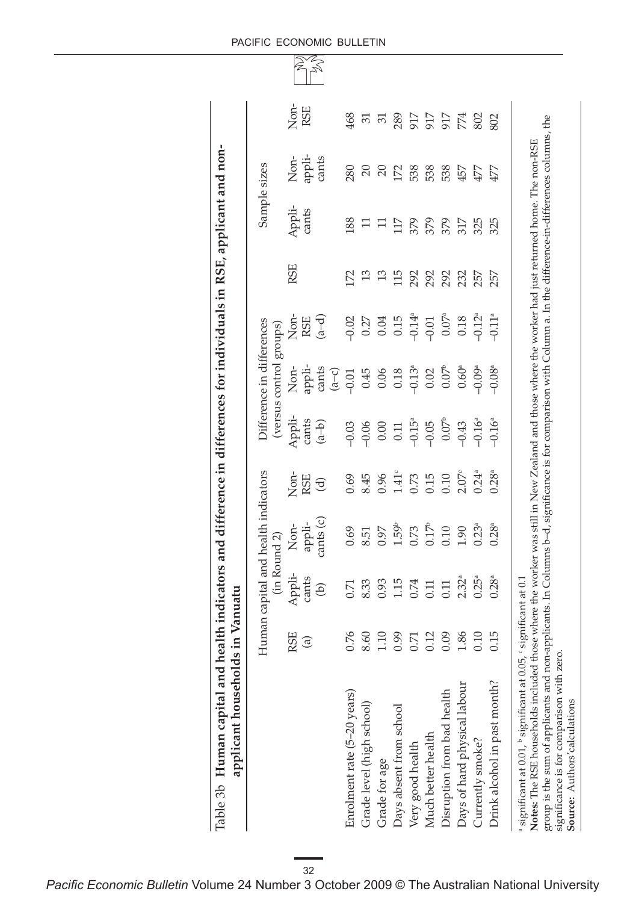| alth indicators and difference in differences for individuals in RSE, applicant and non- |  |
|------------------------------------------------------------------------------------------|--|
| ていらい                                                                                     |  |
| .uman c <sup>2*</sup>                                                                    |  |
|                                                                                          |  |

|                                                                                     |                                                      | Non-       | RSE                                        | 468                         | $\overline{5}$            | $\overline{5}$ | 289                     | 917                  | 917                | 917                        | 774                          | 802                  | 802                          |                                                                                                         |  |
|-------------------------------------------------------------------------------------|------------------------------------------------------|------------|--------------------------------------------|-----------------------------|---------------------------|----------------|-------------------------|----------------------|--------------------|----------------------------|------------------------------|----------------------|------------------------------|---------------------------------------------------------------------------------------------------------|--|
|                                                                                     | Sample sizes                                         | Non-       | appli-<br>cants                            | 280                         | $\overline{20}$           | 20             | 172                     | 538                  | 538                | 538                        | 457                          | 477                  | 477                          |                                                                                                         |  |
| indicators and difference in differences for individuals in RSE, applicant and non- |                                                      | Appli-     | cants                                      | 88                          | $\Xi$                     | $\Box$         | 117                     | 379                  | 379                | 379                        | 317                          | 325                  | 325                          | here the worker was still in New Zealand and those where the worker had just returned home. The non-RSE |  |
|                                                                                     |                                                      | <b>RSE</b> |                                            | 172                         | 13                        | 13             | 115                     | 292                  | 292                | 292                        | 232                          | 257                  | 257                          |                                                                                                         |  |
|                                                                                     |                                                      | Non-       | $\begin{pmatrix} a-d \end{pmatrix}$<br>RSE | $-0.02$                     |                           | $0.27$<br>0.04 | 0.15                    | $-0.14$ <sup>a</sup> | $-0.01$            | $0.07^{\rm a}$             | $0.18\,$                     | $-0.12$ <sup>a</sup> | $-0.11a$                     |                                                                                                         |  |
|                                                                                     | Difference in differences<br>(versus control groups) | Non-       | appli-<br>cants<br>$\overline{a}$          | $-0.01$                     | 0.45                      | $0.06$         | $0.18\,$                | $-0.13$ <sup>a</sup> | 0.02               | 0.07 <sup>b</sup>          | 0.60 <sup>a</sup>            | $-0.09a$             | $-0.08$ <sup>a</sup>         |                                                                                                         |  |
|                                                                                     |                                                      | Appli-     | cants<br>$\left( d - b \right)$            | $-0.03$                     | $-0.06$                   | $0.00\,$       | $0.11\,$                | $-0.15^a$            | $-0.05$            | 0.07 <sup>b</sup>          | $-0.43$                      | $-0.16a$             | $-0.16a$                     |                                                                                                         |  |
|                                                                                     |                                                      | Non-       | RSE<br>$\widehat{\mathbf{C}}$              | 0.69                        | 8.45                      | 0.96           | $1.41^{\circ}$          | 0.73                 | 0.15               | 0.10                       | 2.07 <sup>c</sup>            | $0.24^{a}$           | $0.28^{a}$                   |                                                                                                         |  |
|                                                                                     | n capital and health indicators<br>(in Round 2)      |            | Non-                                       | cants (c)<br>appli-         | 0.69                      | 8.51           | 0.97                    | 1.59 <sup>b</sup>    | 0.73               | 0.17 <sup>b</sup>          | 0.10                         | 1.90                 | $0.23^{a}$                   | $0.28^{a}$                                                                                              |  |
| anuatu                                                                              |                                                      | Appli-     | cants<br>$\Theta$                          | 0.71                        | 8.33                      | 0.93           | 1.15                    | 0.74                 | 0.11               | 0.11                       | 2.32 <sup>a</sup>            | 0.25 <sup>a</sup>    | $0.28^{a}$                   | ficant at 0.1                                                                                           |  |
|                                                                                     | Huma                                                 | RSE        | $\widehat{a}$                              | 0.76                        | 8.60                      | 1.10           | 0.99                    | 0.71                 | 0.12               | 0.09                       | 1.86                         | 0.10                 | 0.15                         |                                                                                                         |  |
| applicant households in V<br>Human capital and health<br>Table 3b                   |                                                      |            |                                            | Enrolment rate (5-20 years) | Grade level (high school) | Grade for age  | Days absent from school | Very good health     | Much better health | Disruption from bad health | Days of hard physical labour | Currently smoke?     | Drink alcohol in past month? | a significant at 0.01, b significant at 0.05, c signi:<br>Notes: The RSE households included those wl   |  |

#### PACIFIC ECONOMIC BULLETIN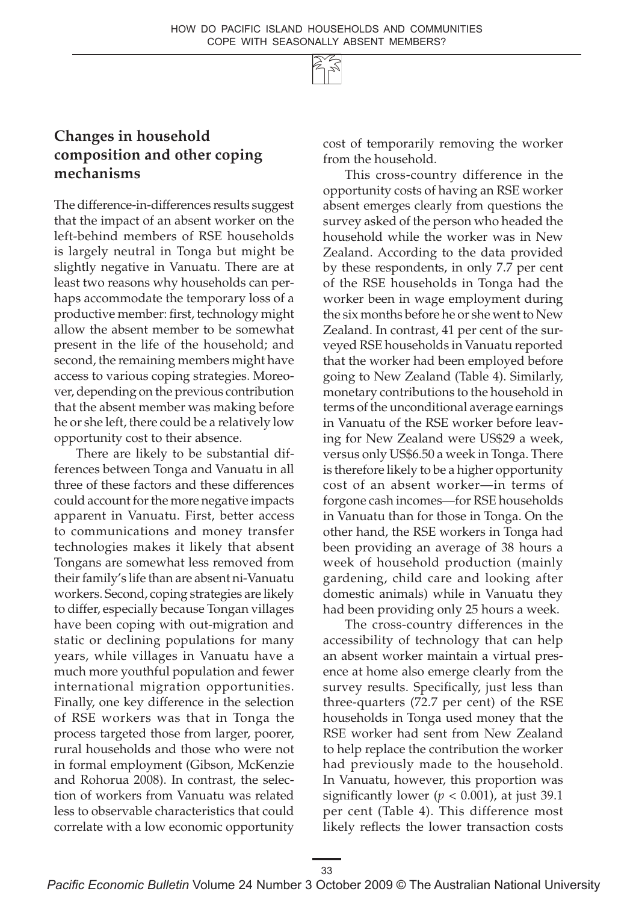

# **Changes in household composition and other coping mechanisms**

The difference-in-differences results suggest that the impact of an absent worker on the left-behind members of RSE households is largely neutral in Tonga but might be slightly negative in Vanuatu. There are at least two reasons why households can perhaps accommodate the temporary loss of a productive member: first, technology might allow the absent member to be somewhat present in the life of the household; and second, the remaining members might have access to various coping strategies. Moreover, depending on the previous contribution that the absent member was making before he or she left, there could be a relatively low opportunity cost to their absence.

There are likely to be substantial differences between Tonga and Vanuatu in all three of these factors and these differences could account for the more negative impacts apparent in Vanuatu. First, better access to communications and money transfer technologies makes it likely that absent Tongans are somewhat less removed from their family's life than are absent ni-Vanuatu workers. Second, coping strategies are likely to differ, especially because Tongan villages have been coping with out-migration and static or declining populations for many years, while villages in Vanuatu have a much more youthful population and fewer international migration opportunities. Finally, one key difference in the selection of RSE workers was that in Tonga the process targeted those from larger, poorer, rural households and those who were not in formal employment (Gibson, McKenzie and Rohorua 2008). In contrast, the selection of workers from Vanuatu was related less to observable characteristics that could correlate with a low economic opportunity

cost of temporarily removing the worker from the household.

This cross-country difference in the opportunity costs of having an RSE worker absent emerges clearly from questions the survey asked of the person who headed the household while the worker was in New Zealand. According to the data provided by these respondents, in only 7.7 per cent of the RSE households in Tonga had the worker been in wage employment during the six months before he or she went to New Zealand. In contrast, 41 per cent of the surveyed RSE households in Vanuatu reported that the worker had been employed before going to New Zealand (Table 4). Similarly, monetary contributions to the household in terms of the unconditional average earnings in Vanuatu of the RSE worker before leaving for New Zealand were US\$29 a week, versus only US\$6.50 a week in Tonga. There is therefore likely to be a higher opportunity cost of an absent worker—in terms of forgone cash incomes—for RSE households in Vanuatu than for those in Tonga. On the other hand, the RSE workers in Tonga had been providing an average of 38 hours a week of household production (mainly gardening, child care and looking after domestic animals) while in Vanuatu they had been providing only 25 hours a week.

The cross-country differences in the accessibility of technology that can help an absent worker maintain a virtual presence at home also emerge clearly from the survey results. Specifically, just less than three-quarters (72.7 per cent) of the RSE households in Tonga used money that the RSE worker had sent from New Zealand to help replace the contribution the worker had previously made to the household. In Vanuatu, however, this proportion was significantly lower ( $p < 0.001$ ), at just 39.1 per cent (Table 4). This difference most likely reflects the lower transaction costs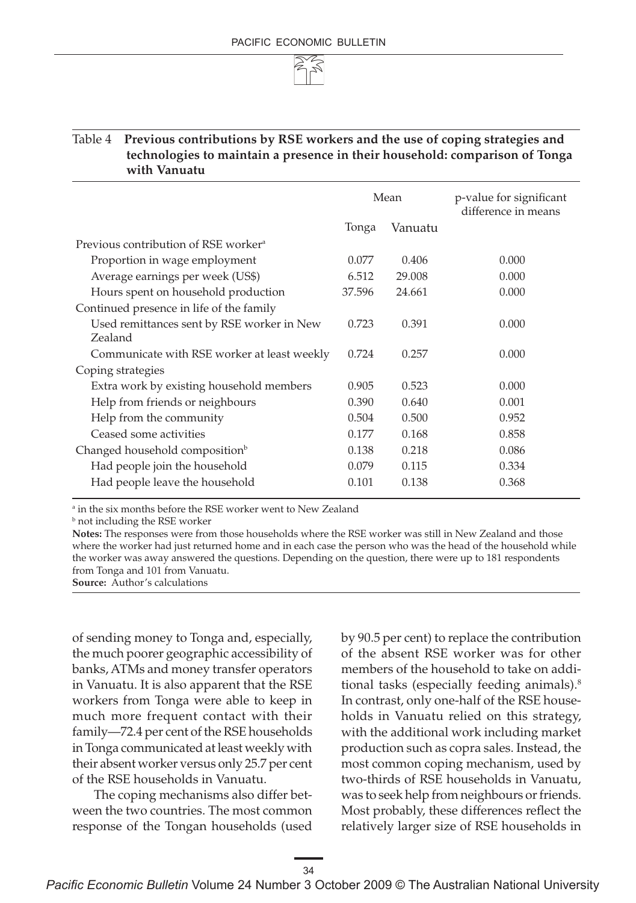

#### Table 4 **Previous contributions by RSE workers and the use of coping strategies and technologies to maintain a presence in their household: comparison of Tonga with Vanuatu**

|                                                       |        | Mean    | p-value for significant<br>difference in means |
|-------------------------------------------------------|--------|---------|------------------------------------------------|
|                                                       | Tonga  | Vanuatu |                                                |
| Previous contribution of RSE worker <sup>a</sup>      |        |         |                                                |
| Proportion in wage employment                         | 0.077  | 0.406   | 0.000                                          |
| Average earnings per week (US\$)                      | 6.512  | 29.008  | 0.000                                          |
| Hours spent on household production                   | 37.596 | 24.661  | 0.000                                          |
| Continued presence in life of the family              |        |         |                                                |
| Used remittances sent by RSE worker in New<br>Zealand | 0.723  | 0.391   | 0.000                                          |
| Communicate with RSE worker at least weekly           | 0.724  | 0.257   | 0.000                                          |
| Coping strategies                                     |        |         |                                                |
| Extra work by existing household members              | 0.905  | 0.523   | 0.000                                          |
| Help from friends or neighbours                       | 0.390  | 0.640   | 0.001                                          |
| Help from the community                               | 0.504  | 0.500   | 0.952                                          |
| Ceased some activities                                | 0.177  | 0.168   | 0.858                                          |
| Changed household composition <sup>b</sup>            | 0.138  | 0.218   | 0.086                                          |
| Had people join the household                         | 0.079  | 0.115   | 0.334                                          |
| Had people leave the household                        | 0.101  | 0.138   | 0.368                                          |

a in the six months before the RSE worker went to New Zealand

<sup>b</sup> not including the RSE worker

**Notes:** The responses were from those households where the RSE worker was still in New Zealand and those where the worker had just returned home and in each case the person who was the head of the household while the worker was away answered the questions. Depending on the question, there were up to 181 respondents from Tonga and 101 from Vanuatu.

**Source:** Author's calculations

of sending money to Tonga and, especially, the much poorer geographic accessibility of banks, ATMs and money transfer operators in Vanuatu. It is also apparent that the RSE workers from Tonga were able to keep in much more frequent contact with their family—72.4 per cent of the RSE households in Tonga communicated at least weekly with their absent worker versus only 25.7 per cent of the RSE households in Vanuatu.

The coping mechanisms also differ between the two countries. The most common response of the Tongan households (used

by 90.5 per cent) to replace the contribution of the absent RSE worker was for other members of the household to take on additional tasks (especially feeding animals).8 In contrast, only one-half of the RSE households in Vanuatu relied on this strategy, with the additional work including market production such as copra sales. Instead, the most common coping mechanism, used by two-thirds of RSE households in Vanuatu, was to seek help from neighbours or friends. Most probably, these differences reflect the relatively larger size of RSE households in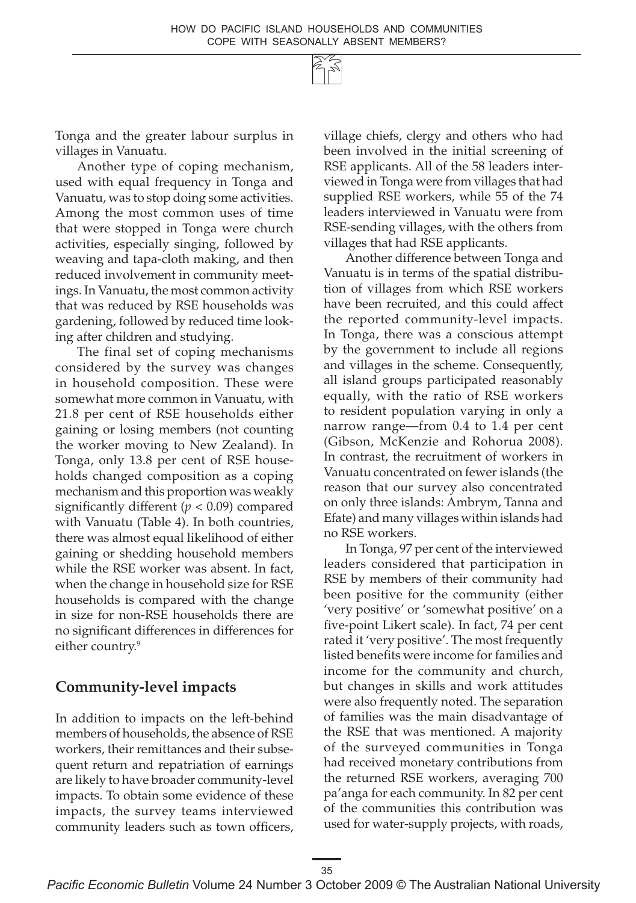Tonga and the greater labour surplus in villages in Vanuatu.

Another type of coping mechanism, used with equal frequency in Tonga and Vanuatu, was to stop doing some activities. Among the most common uses of time that were stopped in Tonga were church activities, especially singing, followed by weaving and tapa-cloth making, and then reduced involvement in community meetings. In Vanuatu, the most common activity that was reduced by RSE households was gardening, followed by reduced time looking after children and studying.

The final set of coping mechanisms considered by the survey was changes in household composition. These were somewhat more common in Vanuatu, with 21.8 per cent of RSE households either gaining or losing members (not counting the worker moving to New Zealand). In Tonga, only 13.8 per cent of RSE households changed composition as a coping mechanism and this proportion was weakly significantly different (*p* < 0.09) compared with Vanuatu (Table 4). In both countries, there was almost equal likelihood of either gaining or shedding household members while the RSE worker was absent. In fact, when the change in household size for RSE households is compared with the change in size for non-RSE households there are no significant differences in differences for either country.<sup>9</sup>

### **Community-level impacts**

In addition to impacts on the left-behind members of households, the absence of RSE workers, their remittances and their subsequent return and repatriation of earnings are likely to have broader community-level impacts. To obtain some evidence of these impacts, the survey teams interviewed community leaders such as town officers,

village chiefs, clergy and others who had been involved in the initial screening of RSE applicants. All of the 58 leaders interviewed in Tonga were from villages that had supplied RSE workers, while 55 of the 74 leaders interviewed in Vanuatu were from RSE-sending villages, with the others from villages that had RSE applicants.

Another difference between Tonga and Vanuatu is in terms of the spatial distribution of villages from which RSE workers have been recruited, and this could affect the reported community-level impacts. In Tonga, there was a conscious attempt by the government to include all regions and villages in the scheme. Consequently, all island groups participated reasonably equally, with the ratio of RSE workers to resident population varying in only a narrow range—from 0.4 to 1.4 per cent (Gibson, McKenzie and Rohorua 2008). In contrast, the recruitment of workers in Vanuatu concentrated on fewer islands (the reason that our survey also concentrated on only three islands: Ambrym, Tanna and Efate) and many villages within islands had no RSE workers.

In Tonga, 97 per cent of the interviewed leaders considered that participation in RSE by members of their community had been positive for the community (either 'very positive' or 'somewhat positive' on a five-point Likert scale). In fact, 74 per cent rated it 'very positive'. The most frequently listed benefits were income for families and income for the community and church, but changes in skills and work attitudes were also frequently noted. The separation of families was the main disadvantage of the RSE that was mentioned. A majority of the surveyed communities in Tonga had received monetary contributions from the returned RSE workers, averaging 700 pa'anga for each community. In 82 per cent of the communities this contribution was used for water-supply projects, with roads,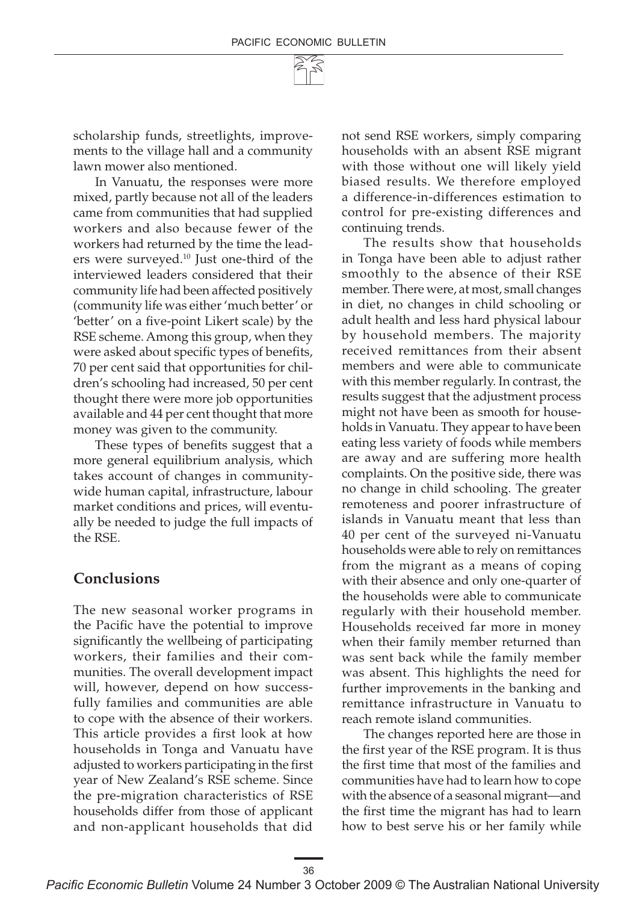

scholarship funds, streetlights, improvements to the village hall and a community lawn mower also mentioned.

In Vanuatu, the responses were more mixed, partly because not all of the leaders came from communities that had supplied workers and also because fewer of the workers had returned by the time the leaders were surveyed.10 Just one-third of the interviewed leaders considered that their community life had been affected positively (community life was either 'much better' or 'better' on a five-point Likert scale) by the RSE scheme. Among this group, when they were asked about specific types of benefits, 70 per cent said that opportunities for children's schooling had increased, 50 per cent thought there were more job opportunities available and 44 per cent thought that more money was given to the community.

These types of benefits suggest that a more general equilibrium analysis, which takes account of changes in communitywide human capital, infrastructure, labour market conditions and prices, will eventually be needed to judge the full impacts of the RSE.

#### **Conclusions**

The new seasonal worker programs in the Pacific have the potential to improve significantly the wellbeing of participating workers, their families and their communities. The overall development impact will, however, depend on how successfully families and communities are able to cope with the absence of their workers. This article provides a first look at how households in Tonga and Vanuatu have adjusted to workers participating in the first year of New Zealand's RSE scheme. Since the pre-migration characteristics of RSE households differ from those of applicant and non-applicant households that did

not send RSE workers, simply comparing households with an absent RSE migrant with those without one will likely yield biased results. We therefore employed a difference-in-differences estimation to control for pre-existing differences and continuing trends.

The results show that households in Tonga have been able to adjust rather smoothly to the absence of their RSE member. There were, at most, small changes in diet, no changes in child schooling or adult health and less hard physical labour by household members. The majority received remittances from their absent members and were able to communicate with this member regularly. In contrast, the results suggest that the adjustment process might not have been as smooth for households in Vanuatu. They appear to have been eating less variety of foods while members are away and are suffering more health complaints. On the positive side, there was no change in child schooling. The greater remoteness and poorer infrastructure of islands in Vanuatu meant that less than 40 per cent of the surveyed ni-Vanuatu households were able to rely on remittances from the migrant as a means of coping with their absence and only one-quarter of the households were able to communicate regularly with their household member. Households received far more in money when their family member returned than was sent back while the family member was absent. This highlights the need for further improvements in the banking and remittance infrastructure in Vanuatu to reach remote island communities.

The changes reported here are those in the first year of the RSE program. It is thus the first time that most of the families and communities have had to learn how to cope with the absence of a seasonal migrant—and the first time the migrant has had to learn how to best serve his or her family while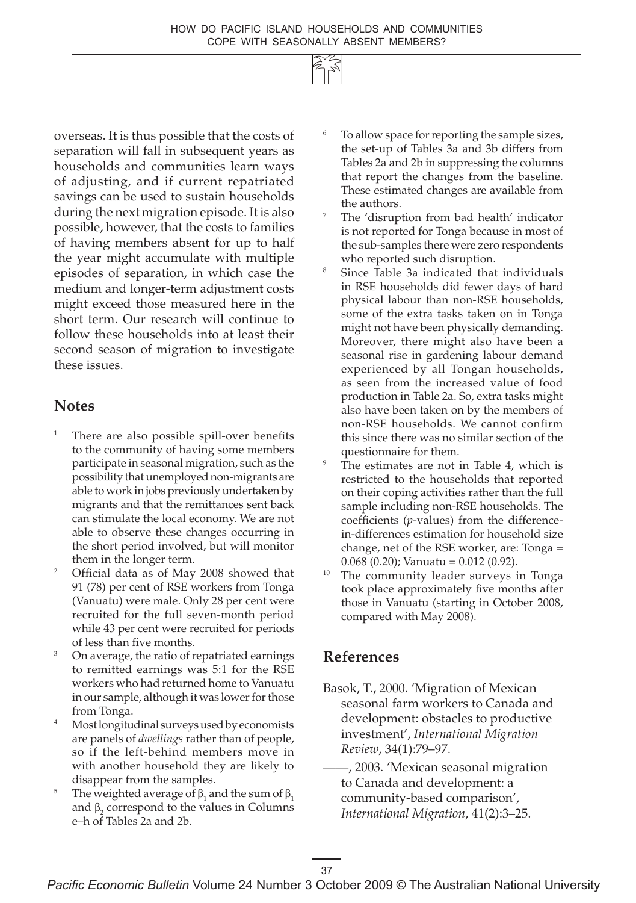

overseas. It is thus possible that the costs of separation will fall in subsequent years as households and communities learn ways of adjusting, and if current repatriated savings can be used to sustain households during the next migration episode. It is also possible, however, that the costs to families of having members absent for up to half the year might accumulate with multiple episodes of separation, in which case the medium and longer-term adjustment costs might exceed those measured here in the short term. Our research will continue to follow these households into at least their second season of migration to investigate these issues.

#### **Notes**

- There are also possible spill-over benefits to the community of having some members participate in seasonal migration, such as the possibility that unemployed non-migrants are able to work in jobs previously undertaken by migrants and that the remittances sent back can stimulate the local economy. We are not able to observe these changes occurring in the short period involved, but will monitor them in the longer term.
- <sup>2</sup> Official data as of May 2008 showed that 91 (78) per cent of RSE workers from Tonga (Vanuatu) were male. Only 28 per cent were recruited for the full seven-month period while 43 per cent were recruited for periods of less than five months.
- <sup>3</sup> On average, the ratio of repatriated earnings to remitted earnings was 5:1 for the RSE workers who had returned home to Vanuatu in our sample, although it was lower for those from Tonga.
- <sup>4</sup> Most longitudinal surveys used by economists are panels of *dwellings* rather than of people, so if the left-behind members move in with another household they are likely to disappear from the samples.
- <sup>5</sup> The weighted average of  $\beta_1$  and the sum of  $\beta_1$ and  $\beta_2$  correspond to the values in Columns e–h of Tables 2a and 2b.
- To allow space for reporting the sample sizes, the set-up of Tables 3a and 3b differs from Tables 2a and 2b in suppressing the columns that report the changes from the baseline. These estimated changes are available from
- The 'disruption from bad health' indicator is not reported for Tonga because in most of the sub-samples there were zero respondents who reported such disruption.
- Since Table 3a indicated that individuals in RSE households did fewer days of hard physical labour than non-RSE households, some of the extra tasks taken on in Tonga might not have been physically demanding. Moreover, there might also have been a seasonal rise in gardening labour demand experienced by all Tongan households, as seen from the increased value of food production in Table 2a. So, extra tasks might also have been taken on by the members of non-RSE households. We cannot confirm this since there was no similar section of the questionnaire for them.
- The estimates are not in Table 4, which is restricted to the households that reported on their coping activities rather than the full sample including non-RSE households. The coefficients (*p*-values) from the differencein-differences estimation for household size change, net of the RSE worker, are: Tonga =  $0.068$  (0.20); Vanuatu = 0.012 (0.92).
- <sup>10</sup> The community leader surveys in Tonga took place approximately five months after those in Vanuatu (starting in October 2008, compared with May 2008).

### **References**

Basok, T., 2000. 'Migration of Mexican seasonal farm workers to Canada and development: obstacles to productive investment', *International Migration Review*, 34(1):79–97.

——, 2003. 'Mexican seasonal migration to Canada and development: a community-based comparison', *International Migration*, 41(2):3–25.